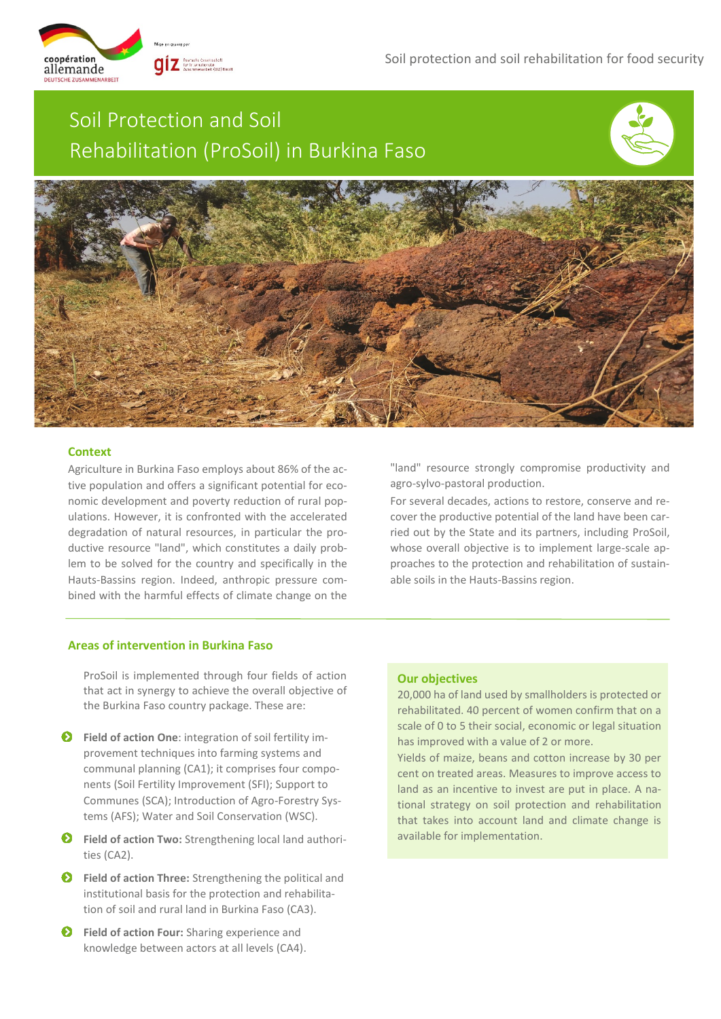coopération allemande

# Soil Protection and Soil Rehabilitation (ProSoil) in Burkina Faso





# **Context**

Agriculture in Burkina Faso employs about 86% of the active population and offers a significant potential for economic development and poverty reduction of rural populations. However, it is confronted with the accelerated degradation of natural resources, in particular the productive resource "land", which constitutes a daily problem to be solved for the country and specifically in the Hauts-Bassins region. Indeed, anthropic pressure combined with the harmful effects of climate change on the

"land" resource strongly compromise productivity and agro-sylvo-pastoral production.

For several decades, actions to restore, conserve and recover the productive potential of the land have been carried out by the State and its partners, including ProSoil, whose overall objective is to implement large-scale approaches to the protection and rehabilitation of sustainable soils in the Hauts-Bassins region. .

# **Areas of intervention in Burkina Faso**

ProSoil is implemented through four fields of action that act in synergy to achieve the overall objective of the Burkina Faso country package. These are:

- $\bullet$  Field of action One: integration of soil fertility improvement techniques into farming systems and communal planning (CA1); it comprises four components (Soil Fertility Improvement (SFI); Support to Communes (SCA); Introduction of Agro-Forestry Systems (AFS); Water and Soil Conservation (WSC).
- **P** Field of action Two: Strengthening local land authorities (CA2).
- **P** Field of action Three: Strengthening the political and institutional basis for the protection and rehabilitation of soil and rural land in Burkina Faso (CA3).
- $\bullet$  Field of action Four: Sharing experience and knowledge between actors at all levels (CA4).

## **Our objectives**

20,000 ha of land used by smallholders is protected or rehabilitated. 40 percent of women confirm that on a scale of 0 to 5 their social, economic or legal situation has improved with a value of 2 or more.

Yields of maize, beans and cotton increase by 30 per cent on treated areas. Measures to improve access to land as an incentive to invest are put in place. A national strategy on soil protection and rehabilitation that takes into account land and climate change is available for implementation.